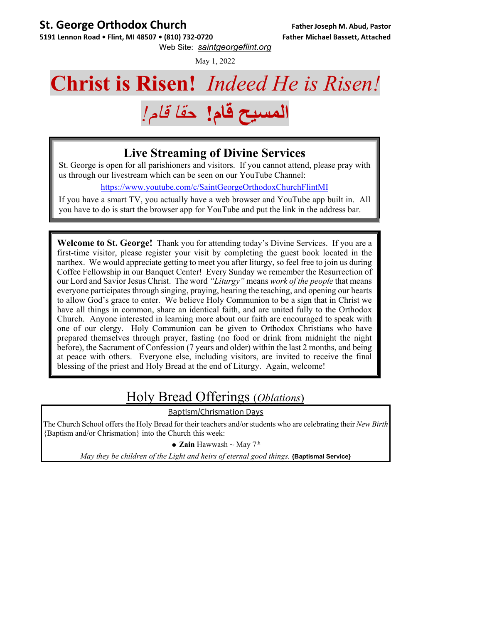#### **St. George Orthodox Church Father Joseph M. Abud, Pastor**

5191 Lennon Road • Flint, MI 48507 • (810) 732-0720 Father Michael Bassett, Attached Web Site: *saintgeorgeflint.org*

May 1, 2022

## **Christ is Risen!** *Indeed He is Risen!*



#### **Live Streaming of Divine Services**

St. George is open for all parishioners and visitors. If you cannot attend, please pray with us through our livestream which can be seen on our YouTube Channel:

https://www.youtube.com/c/SaintGeorgeOrthodoxChurchFlintMI

If you have a smart TV, you actually have a web browser and YouTube app built in. All you have to do is start the browser app for YouTube and put the link in the address bar.

**Welcome to St. George!** Thank you for attending today's Divine Services. If you are a first-time visitor, please register your visit by completing the guest book located in the narthex. We would appreciate getting to meet you after liturgy, so feel free to join us during Coffee Fellowship in our Banquet Center! Every Sunday we remember the Resurrection of our Lord and Savior Jesus Christ. The word *"Liturgy"* means *work of the people* that means everyone participates through singing, praying, hearing the teaching, and opening our hearts to allow God's grace to enter. We believe Holy Communion to be a sign that in Christ we have all things in common, share an identical faith, and are united fully to the Orthodox Church. Anyone interested in learning more about our faith are encouraged to speak with one of our clergy. Holy Communion can be given to Orthodox Christians who have prepared themselves through prayer, fasting (no food or drink from midnight the night before), the Sacrament of Confession (7 years and older) within the last 2 months, and being at peace with others. Everyone else, including visitors, are invited to receive the final blessing of the priest and Holy Bread at the end of Liturgy. Again, welcome!

### Holy Bread Offerings (*Oblations*)

Baptism/Chrismation Days

The Church School offers the Holy Bread for their teachers and/or students who are celebrating their *New Birth* {Baptism and/or Chrismation} into the Church this week:

**Zain** Hawwash ~ May 7th

*May they be children of the Light and heirs of eternal good things.* **{Baptismal Service}**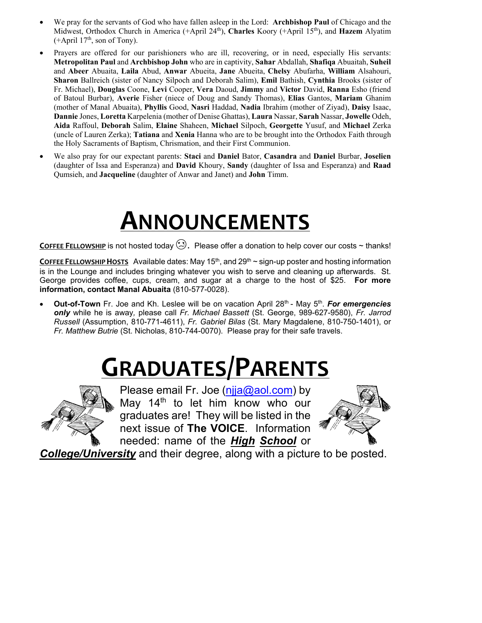- We pray for the servants of God who have fallen asleep in the Lord: **Archbishop Paul** of Chicago and the Midwest, Orthodox Church in America (+April 24<sup>th</sup>), **Charles** Koory (+April 15<sup>th</sup>), and **Hazem** Alyatim  $(+$ April 17<sup>th</sup>, son of Tony).
- Prayers are offered for our parishioners who are ill, recovering, or in need, especially His servants: **Metropolitan Paul** and **Archbishop John** who are in captivity, **Sahar** Abdallah, **Shafiqa** Abuaitah, **Suheil**  and **Abeer** Abuaita, **Laila** Abud, **Anwar** Abueita, **Jane** Abueita, **Chelsy** Abufarha, **William** Alsahouri, **Sharon** Ballreich (sister of Nancy Silpoch and Deborah Salim), **Emil** Bathish, **Cynthia** Brooks (sister of Fr. Michael), **Douglas** Coone, **Levi** Cooper, **Vera** Daoud, **Jimmy** and **Victor** David, **Ranna** Esho (friend of Batoul Burbar), **Averie** Fisher (niece of Doug and Sandy Thomas), **Elias** Gantos, **Mariam** Ghanim (mother of Manal Abuaita), **Phyllis** Good, **Nasri** Haddad, **Nadia** Ibrahim (mother of Ziyad), **Daisy** Isaac, **Dannie** Jones, **Loretta** Karpelenia (mother of Denise Ghattas), **Laura** Nassar, **Sarah** Nassar, **Jowelle** Odeh, **Aida** Raffoul, **Deborah** Salim, **Elaine** Shaheen, **Michael** Silpoch, **Georgette** Yusuf, and **Michael** Zerka (uncle of Lauren Zerka); **Tatiana** and **Xenia** Hanna who are to be brought into the Orthodox Faith through the Holy Sacraments of Baptism, Chrismation, and their First Communion.
- We also pray for our expectant parents: **Staci** and **Daniel** Bator, **Casandra** and **Daniel** Burbar, **Joselien** (daughter of Issa and Esperanza) and **David** Khoury, **Sandy** (daughter of Issa and Esperanza) and **Raad** Qumsieh, and **Jacqueline** (daughter of Anwar and Janet) and **John** Timm.

## **ANNOUNCEMENTS**

**COFFEE FELLOWSHIP** is not hosted today  $\bigcirc$ . Please offer a donation to help cover our costs ~ thanks!

**COFFEE FELLOWSHIP HOSTS** Available dates: May  $15<sup>th</sup>$ , and  $29<sup>th</sup>$   $\sim$  sign-up poster and hosting information is in the Lounge and includes bringing whatever you wish to serve and cleaning up afterwards. St. George provides coffee, cups, cream, and sugar at a charge to the host of \$25. **For more information, contact Manal Abuaita** (810-577-0028).

**Out-of-Town** Fr. Joe and Kh. Leslee will be on vacation April 28<sup>th</sup> - May 5<sup>th</sup>. *For emergencies only* while he is away*,* please call *Fr. Michael Bassett* (St. George, 989-627-9580), *Fr. Jarrod Russell* (Assumption, 810-771-4611), *Fr. Gabriel Bilas* (St. Mary Magdalene, 810-750-1401), or *Fr. Matthew Butrie* (St. Nicholas, 810-744-0070). Please pray for their safe travels.

# **GRADUATES/PARENTS**



Please email Fr. Joe (njja@aol.com) by May  $14<sup>th</sup>$  to let him know who our graduates are! They will be listed in the next issue of **The VOICE**. Information needed: name of the *High School* or



*College/University* and their degree, along with a picture to be posted.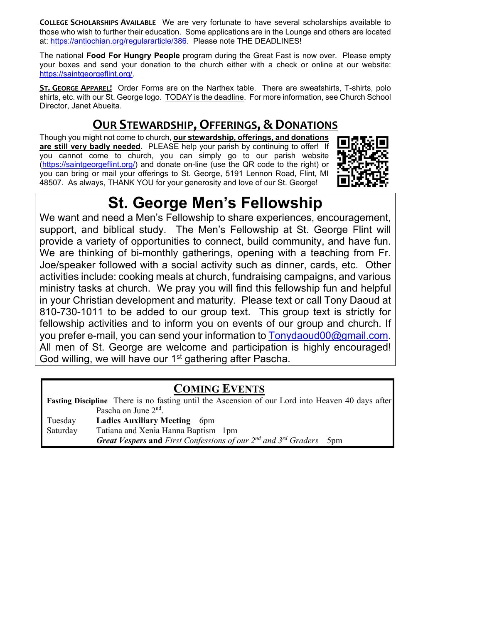**COLLEGE SCHOLARSHIPS AVAILABLE** We are very fortunate to have several scholarships available to those who wish to further their education. Some applications are in the Lounge and others are located at: https://antiochian.org/regulararticle/386. Please note THE DEADLINES!

The national **Food For Hungry People** program during the Great Fast is now over. Please empty your boxes and send your donation to the church either with a check or online at our website: https://saintgeorgeflint.org/.

**ST. GEORGE APPAREL!** Order Forms are on the Narthex table. There are sweatshirts, T-shirts, polo shirts, etc. with our St. George logo. TODAY is the deadline. For more information, see Church School Director, Janet Abueita.

#### **OUR STEWARDSHIP, OFFERINGS, & DONATIONS**

Though you might not come to church, **our stewardship, offerings, and donations are still very badly needed**. PLEASE help your parish by continuing to offer! If you cannot come to church, you can simply go to our parish website (https://saintgeorgeflint.org/) and donate on-line (use the QR code to the right) or you can bring or mail your offerings to St. George, 5191 Lennon Road, Flint, MI 48507. As always, THANK YOU for your generosity and love of our St. George!



### **St. George Men's Fellowship**

We want and need a Men's Fellowship to share experiences, encouragement, support, and biblical study. The Men's Fellowship at St. George Flint will provide a variety of opportunities to connect, build community, and have fun. We are thinking of bi-monthly gatherings, opening with a teaching from Fr. Joe/speaker followed with a social activity such as dinner, cards, etc. Other activities include: cooking meals at church, fundraising campaigns, and various ministry tasks at church. We pray you will find this fellowship fun and helpful in your Christian development and maturity. Please text or call Tony Daoud at 810-730-1011 to be added to our group text. This group text is strictly for fellowship activities and to inform you on events of our group and church. If you prefer e-mail, you can send your information to Tonydaoud00@gmail.com. All men of St. George are welcome and participation is highly encouraged! God willing, we will have our 1<sup>st</sup> gathering after Pascha.

#### **COMING EVENTS**

**Fasting Discipline** There is no fasting until the Ascension of our Lord into Heaven 40 days after Pascha on June 2<sup>nd</sup>. Tuesday **Ladies Auxiliary Meeting** 6pm Saturday Tatiana and Xenia Hanna Baptism 1pm *Great Vespers* **and** *First Confessions of our 2nd and 3rd Graders* 5pm